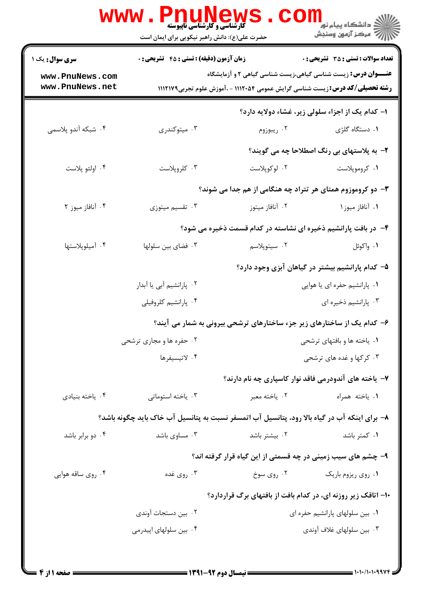| سری سوال: یک ۱                                                 | زمان آزمون (دقیقه) : تستی : 45 آتشریحی : 0                                                   |                                                                                      | <b>تعداد سوالات : تستی : 35 - تشریحی : 0</b>     |
|----------------------------------------------------------------|----------------------------------------------------------------------------------------------|--------------------------------------------------------------------------------------|--------------------------------------------------|
| www.PnuNews.com                                                |                                                                                              | <b>عنـــوان درس:</b> زیست شناسی گیاهی،زیست شناسی گیاهی ۲ و آزمایشگاه                 |                                                  |
| www.PnuNews.net                                                |                                                                                              | <b>رشته تحصیلی/کد درس:</b> زیست شناسی گرایش عمومی ۱۱۱۲۰۵۴ - ،آموزش علوم تجربی۱۱۱۲۱۷۹ |                                                  |
|                                                                |                                                                                              |                                                                                      | ۱- کدام یک از اجزاء سلولی زیر، غشاء دولایه دارد؟ |
| ۰۴ شبکه آندو پلاسمی                                            | ۰۳ میتوکندری                                                                                 | ۰۲ ریبوزوم                                                                           | ۰۱ دستگاه گلژی                                   |
|                                                                |                                                                                              |                                                                                      | ۲- به پلاستهای بی رنگ اصطلاحا چه می گویند؟       |
| ۰۴ اولئو پلاست                                                 | ۰۳ کلروپلاست                                                                                 | ۰۲ لوکوپلاست                                                                         | ۰۱ کروموپلاست                                    |
|                                                                |                                                                                              | ۳- دو کروموزوم همتای هر تتراد چه هنگامی از هم جدا می شوند؟                           |                                                  |
| ۰۴ آنافاز میوز ۲                                               | ۰۳ تقسیم میتوزی                                                                              | ۰۲ آنافاز میتوز                                                                      | ۰۱ آنافاز میوز۱                                  |
| ۴- در بافت پارانشیم ذخیره ای نشاسته در کدام قسمت ذخیره می شود؟ |                                                                                              |                                                                                      |                                                  |
| ۰۴ آمیلوپلاستها                                                | ۰۳ فضای بین سلولها                                                                           | ۰۲ سیتوپلاسم                                                                         | ۰۱ واکوئل                                        |
|                                                                |                                                                                              |                                                                                      | ۵– کدام پارانشیم بیشتر در گیاهان آبزی وجود دارد؟ |
|                                                                | ۰۲ پارانشیم آبی یا آبدار                                                                     |                                                                                      | ۰۱ پارانشیم حفره ای یا هوایی                     |
|                                                                | ۰۴ پارانشیم کلروفیلی                                                                         |                                                                                      | ۰۳ پارانشیم ذخیره ای                             |
|                                                                |                                                                                              | ۶– کدام یک از ساختارهای زیر جزء ساختارهای ترشحی بیرونی به شمار می آیند؟              |                                                  |
|                                                                | ۰۲ حفره ها و مجاری ترشحی                                                                     | ۰۱ یاخته ها و بافتهای ترشحی                                                          |                                                  |
|                                                                | ۰۴ لاتيسيفرها                                                                                | ۰۳ کرکها و غده های ترشحی                                                             |                                                  |
|                                                                |                                                                                              | ۷- یاخته های آندودرمی فاقد نوار کاسپاری چه نام دارند؟                                |                                                  |
| ۰۴ ياخته بنيادي                                                | ۰۳ ياخته استوماتي                                                                            | ۰۲ ياخته معبر                                                                        | ٠١. ياخته همراه                                  |
|                                                                | ۸– برای اینکه آب در گیاه بالا رود، پتانسیل آب اتمسفر نسبت به پتانسیل آب خاک باید چگونه باشد؟ |                                                                                      |                                                  |
| ۰۴ دو برابر باشد                                               | ۰۳ مساوی باشد                                                                                | ۰۲ بیشتر باشد                                                                        | ۰۱ کمتر باشد                                     |
|                                                                |                                                                                              | ۹- چشم های سیب زمینی در چه قسمتی از این گیاه قرار گرفته اند؟                         |                                                  |
| ۰۴ روی ساقه هوایی                                              | ۰۳ روي غده                                                                                   | ۰۲ روی سوخ                                                                           | ٠١. روى ريزوم باريك                              |
|                                                                |                                                                                              | ۱۰– اتاقک زیر روزنه ای، در کدام بافت از بافتهای برگ قراردارد؟                        |                                                  |
|                                                                | ۰۲ بین دستجات آوندی                                                                          |                                                                                      | ٠١ بين سلولهاى پارانشيم حفره اى                  |
|                                                                | ۰۴ بین سلولهای اپیدرمی                                                                       |                                                                                      | ۰۳ بین سلولهای غلاف آوندی                        |
|                                                                |                                                                                              |                                                                                      |                                                  |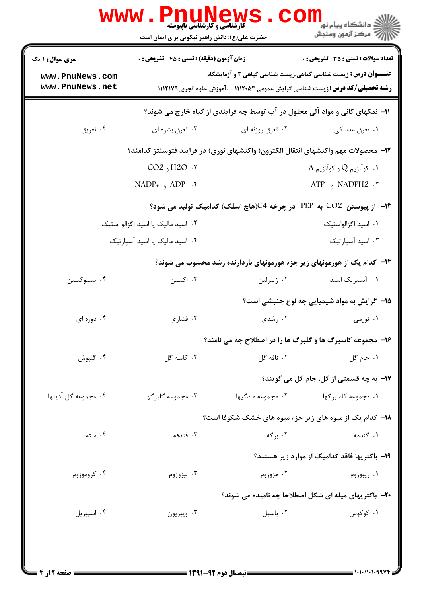|                                                                                   | <b>VWW</b><br><b>گارشناسی و کارشناسی ناپیوسته</b><br>حضرت علی(ع): دانش راهبر نیکویی برای ایمان است |                                                                                                                                                                | ري دانشڪاه پيام نور<br>ا∛ مرکز آزمون وسنڊش   |  |  |
|-----------------------------------------------------------------------------------|----------------------------------------------------------------------------------------------------|----------------------------------------------------------------------------------------------------------------------------------------------------------------|----------------------------------------------|--|--|
| <b>سری سوال : ۱ یک</b>                                                            | <b>زمان آزمون (دقیقه) : تستی : 45 تشریحی : 0</b>                                                   |                                                                                                                                                                | <b>تعداد سوالات : تستی : 35 - تشریحی : 0</b> |  |  |
| www.PnuNews.com<br>www.PnuNews.net                                                |                                                                                                    | <b>عنـــوان درس:</b> زیست شناسی گیاهی،زیست شناسی گیاهی ۲ و آزمایشگاه<br><b>رشته تحصیلی/کد درس: :</b> زیست شناسی گرایش عمومی ۱۱۱۲۰۵۴ - ،آموزش علوم تجربی۱۱۱۲۱۷۹ |                                              |  |  |
| 11- نمکهای کانی و مواد آلی محلول در آب توسط چه فرایندی از گیاه خارج می شوند؟      |                                                                                                    |                                                                                                                                                                |                                              |  |  |
| ۰۴ تعریق                                                                          | ۰۳ تعرق بشره اي                                                                                    | ۰۲ تعرق روزنه ای                                                                                                                                               | ۰۱ تعرق عدسکی                                |  |  |
| ۱۲– محصولات مهم واکنشهای انتقال الکترون( واکنشهای نوری) در فرایند فتوسنتز کدامند؟ |                                                                                                    |                                                                                                                                                                |                                              |  |  |
|                                                                                   | CO2, H2O.7                                                                                         |                                                                                                                                                                | $\rm A$ . كوآنزيم $\rm Q$ و كوآنزيم $\rm A$  |  |  |
|                                                                                   | $NADP_{+}$ , $ADP_{+}$                                                                             |                                                                                                                                                                | ATP , NADPH2 $\cdot$ $\cdot$                 |  |  |
| ۱۳- از پیوستن CO2 به PEP در چرخه C4(هاچ اسلک) کدامیک تولید می شود؟                |                                                                                                    |                                                                                                                                                                |                                              |  |  |
|                                                                                   | ۰۲ اسید مالیک یا اسید اگزالو استیک                                                                 |                                                                                                                                                                | ٠١ اسيد اگزالواستيک                          |  |  |
|                                                                                   | ۰۴ اسید مالیک یا اسید آسپارتیک                                                                     |                                                                                                                                                                | ۰۳ اسید آسپارتیک                             |  |  |
|                                                                                   |                                                                                                    | ۱۴- کدام یک از هورمونهای زیر جزء هورمونهای بازدارنده رشد محسوب می شوند؟                                                                                        |                                              |  |  |
| ۰۴ سيتوكينين                                                                      | ۰۳ اکسین                                                                                           | ۰۲ ژیبرلین                                                                                                                                                     | ٠١ أبسيزيک اسيد                              |  |  |
|                                                                                   |                                                                                                    |                                                                                                                                                                | 1۵- گرایش به مواد شیمیایی چه نوع جنبشی است؟  |  |  |
| ۰۴ دوره ای                                                                        | ۰۳ فشاری                                                                                           | ۰۲ رشدی                                                                                                                                                        | ۰۱ تورمی                                     |  |  |
|                                                                                   |                                                                                                    | ۱۶- مجموعه کاسبرگ ها و گلبرگ ها را در اصطلاح چه می نامند؟                                                                                                      |                                              |  |  |
| ۰۴ گلپوش                                                                          | ۰۳ کاسه گل                                                                                         | ۰۲ نافه گل                                                                                                                                                     | ٠١. جام گل                                   |  |  |
|                                                                                   |                                                                                                    |                                                                                                                                                                | ۱۷– به چه قسمتی از گل، جام گل می گویند؟      |  |  |
| ۰۴ مجموعه گل آذینها                                                               | ۰۳ مجموعه گلبر گها                                                                                 | ۰۲ مجموعه مادگیها                                                                                                                                              | ۰۱ مجموعه کاسبر گها                          |  |  |
|                                                                                   |                                                                                                    | ۱۸– کدام یک از میوه های زیر جزء میوه های خشک شکوفا است؟                                                                                                        |                                              |  |  |
| ۰۴ سته                                                                            | ۰۳ فندقه                                                                                           | ۰۲ برگه                                                                                                                                                        | ۱. گندمه                                     |  |  |
|                                                                                   |                                                                                                    |                                                                                                                                                                | ۱۹- باکتریها فاقد کدامیک از موارد زیر هستند؟ |  |  |
| ۰۴ کروموزوم                                                                       | ۰۳ ليزوزوم                                                                                         | ۰۲ مزوزوم                                                                                                                                                      | ۰۱ ريبوزوم                                   |  |  |
|                                                                                   | ۲۰- باکتریهای میله ای شکل اصطلاحا چه نامیده می شوند؟                                               |                                                                                                                                                                |                                              |  |  |
| ۰۴ اسپیریل                                                                        | ۰۳ ويبريون                                                                                         | ۰۲ باسیل                                                                                                                                                       | ۰۱ کوکوس                                     |  |  |
|                                                                                   |                                                                                                    |                                                                                                                                                                |                                              |  |  |
|                                                                                   |                                                                                                    |                                                                                                                                                                |                                              |  |  |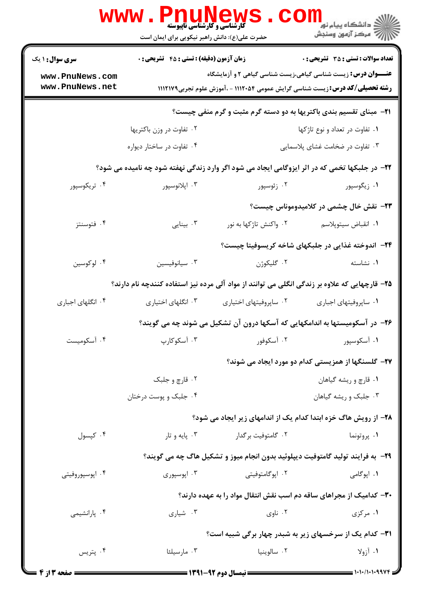|                                                                                               | <b>WWW.PNUNEW;</b><br><b>گارشناسی و کارشناسی ناپیوسته</b><br>حضرت علی(ع): دانش راهبر نیکویی برای ایمان است |                        | ڪ دانشڪاه پيام نور ■<br> 7- مرکز آزمون وسنڊش                                                                                                                 |  |
|-----------------------------------------------------------------------------------------------|------------------------------------------------------------------------------------------------------------|------------------------|--------------------------------------------------------------------------------------------------------------------------------------------------------------|--|
| <b>سری سوال : ۱ یک</b>                                                                        | <b>زمان آزمون (دقیقه) : تستی : 45 تشریحی : 0</b>                                                           |                        | <b>تعداد سوالات : تستی : 35 تشریحی : 0</b>                                                                                                                   |  |
| www.PnuNews.com<br>www.PnuNews.net                                                            |                                                                                                            |                        | <b>عنـــوان درس:</b> زیست شناسی گیاهی،زیست شناسی گیاهی ۲ و آزمایشگاه<br><b>رشته تحصیلی/کد درس:</b> زیست شناسی گرایش عمومی ۱۱۱۲۰۵۴ - ،آموزش علوم تجربی۱۱۱۲۱۷۹ |  |
| <b>۲۱</b> - مبنای تقسیم بندی باکتریها به دو دسته گرم مثبت و گرم منفی چیست؟                    |                                                                                                            |                        |                                                                                                                                                              |  |
|                                                                                               | ۰۲ تفاوت در وزن باکتریها                                                                                   |                        | ۰۱ تفاوت در تعداد و نوع تاژكها                                                                                                                               |  |
|                                                                                               | ۰۴ تفاوت در ساختار دیواره                                                                                  |                        | ۰۳ تفاوت در ضخامت غشای پلاسمایی                                                                                                                              |  |
|                                                                                               |                                                                                                            |                        | ۲۲- در جلبکها تخمی که در اثر ایزوگامی ایجاد می شود اگر وارد زندگی نهفته شود چه نامیده می شود؟                                                                |  |
| ۰۴ تریکوسپور                                                                                  | ۰۳ اپلانوسپور                                                                                              | ۰۲ زئوسپور             | ۰۱ زیگوسپور                                                                                                                                                  |  |
|                                                                                               |                                                                                                            |                        | ۲۳- نقش خال چشمی در کلامیدوموناس چیست؟                                                                                                                       |  |
| ۰۴ فتوسنتز                                                                                    | ۰۳ بينايى                                                                                                  | ۲. واکنش تاژکها به نور | ٠١. انقباض سيتوپلاسم                                                                                                                                         |  |
|                                                                                               |                                                                                                            |                        | ۲۴− اندوخته غذایی در جلبکهای شاخه کریسوفیتا چیست؟                                                                                                            |  |
| ۰۴ لوکوسین                                                                                    | ۰۳ سيانوفيسين                                                                                              | ۰۲ گلیکوژن             | ٠١. نشاسته                                                                                                                                                   |  |
| ۲۵– قارچهایی که علاوه بر زندگی انگلی می توانند از مواد آلی مرده نیز استفاده کنندچه نام دارند؟ |                                                                                                            |                        |                                                                                                                                                              |  |
| ۰۴ انگلهای اجباری                                                                             | ۰۳ انگلهای اختیاری                                                                                         | ۰۲ ساپروفیتهای اختیاری | ۰۱ ساپروفیتهای اجباری                                                                                                                                        |  |
|                                                                                               |                                                                                                            |                        | ۲۶– در آسکومیستها به اندامکهایی که آسکها درون آن تشکیل می شوند چه می گویند؟                                                                                  |  |
| ۰۴ آسکومیست                                                                                   | ۰۳ آسکوکارپ                                                                                                | ۰۲ آسکوفور             | ۰۱ آسکوسپور                                                                                                                                                  |  |
|                                                                                               |                                                                                                            |                        | ۲۷- گلسنگها از همزیستی کدام دو مورد ایجاد می شوند؟                                                                                                           |  |
|                                                                                               | ۰۲ قارچ و جلبک                                                                                             |                        | ۰۱ قارچ و ريشه گياهان                                                                                                                                        |  |
|                                                                                               | ۰۴ جلبک و پوست درختان                                                                                      |                        | ۰۳ جلبک و ریشه گیاهان                                                                                                                                        |  |
|                                                                                               |                                                                                                            |                        | ۲۸- از رویش هاگ خزه ابتدا کدام یک از اندامهای زیر ایجاد می شود؟                                                                                              |  |
| ۰۴ کپسول                                                                                      | ۰۳ پایه و تار                                                                                              | ۰۲ گامتوفیت برگدار     | ۰۱ پروتونما                                                                                                                                                  |  |
|                                                                                               |                                                                                                            |                        | <b>۲۹</b> - به فرایند تولید گامتوفیت دیپلوئید بدون انجام میوز و تشکیل هاگ چه می گویند؟                                                                       |  |
| ۰۴ اپوسپوروفيتي                                                                               | ۰۳ اپوسپوري                                                                                                | ۰۲ اپوگامتوفیتی        | ۰۱ اپوگامی                                                                                                                                                   |  |
|                                                                                               |                                                                                                            |                        | ۳۰- کدامیک از مجراهای ساقه دم اسب نقش انتقال مواد را به عهده دارند؟                                                                                          |  |
| ۰۴ پارانشیمی                                                                                  | ۰۳ شیاری                                                                                                   | ۰۲ ناوي                | ۰۱ مرکزی                                                                                                                                                     |  |
|                                                                                               | <b>31- کدام یک از سرخسهای زیر به شبدر چهار برگی شبیه است؟</b>                                              |                        |                                                                                                                                                              |  |
| ۰۴ پتريس                                                                                      | ۰۳ مارسیلئا                                                                                                | ۰۲ سالوينيا            | ۰۱ آزولا                                                                                                                                                     |  |
| = صفحه 3 از 4 =                                                                               |                                                                                                            |                        | $1.11.111994F =$                                                                                                                                             |  |